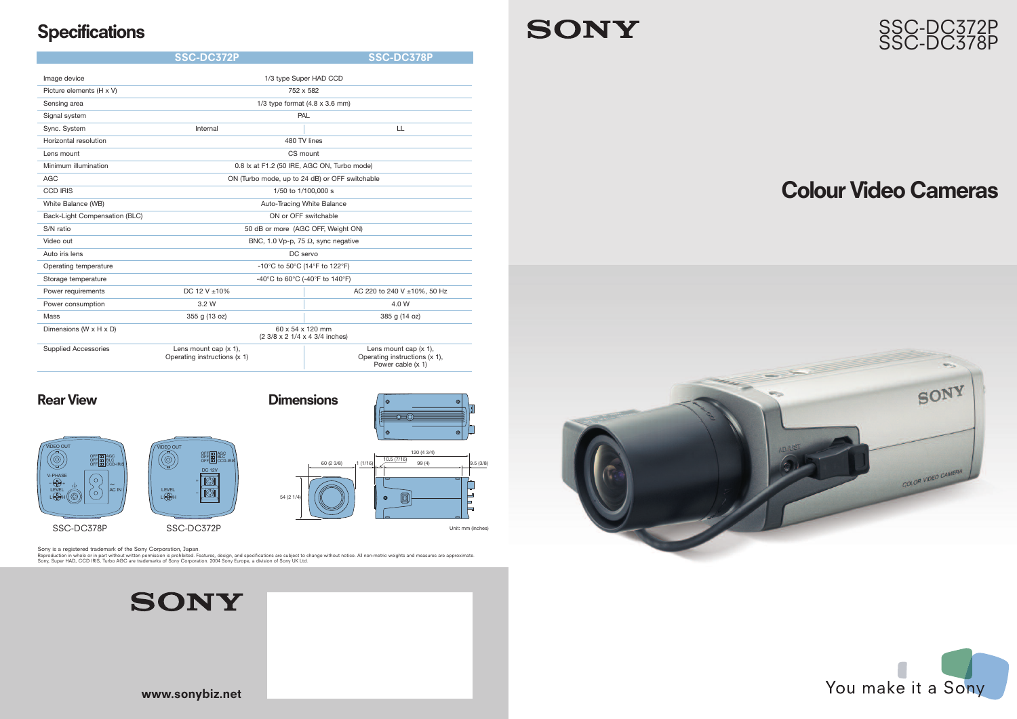# SSC-DC372P SSC-DC378P

# **Colour Video Cameras**



**www.sonybiz.net**

# **Specifications**

# **SONY**

| Image device                  | 1/3 type Super HAD CCD                                   |                                                                                |
|-------------------------------|----------------------------------------------------------|--------------------------------------------------------------------------------|
| Picture elements (H x V)      | 752 x 582                                                |                                                                                |
| Sensing area                  | 1/3 type format $(4.8 \times 3.6 \text{ mm})$            |                                                                                |
| Signal system                 | PAL                                                      |                                                                                |
| Sync. System                  | Internal                                                 | LL                                                                             |
| Horizontal resolution         | 480 TV lines                                             |                                                                                |
| Lens mount                    | CS mount                                                 |                                                                                |
| Minimum illumination          | 0.8 lx at F1.2 (50 IRE, AGC ON, Turbo mode)              |                                                                                |
| <b>AGC</b>                    | ON (Turbo mode, up to 24 dB) or OFF switchable           |                                                                                |
| <b>CCD IRIS</b>               | 1/50 to 1/100,000 s                                      |                                                                                |
| White Balance (WB)            | Auto-Tracing White Balance                               |                                                                                |
| Back-Light Compensation (BLC) | ON or OFF switchable                                     |                                                                                |
| S/N ratio                     | 50 dB or more (AGC OFF, Weight ON)                       |                                                                                |
| Video out                     | BNC, 1.0 Vp-p, 75 $\Omega$ , sync negative               |                                                                                |
| Auto iris lens                | DC servo                                                 |                                                                                |
| Operating temperature         | -10°C to 50°C (14°F to 122°F)                            |                                                                                |
| Storage temperature           | -40°C to 60°C (-40°F to 140°F)                           |                                                                                |
| Power requirements            | DC 12 V ±10%                                             | AC 220 to 240 V ±10%, 50 Hz                                                    |
| Power consumption             | 3.2 W                                                    | 4.0 W                                                                          |
| Mass                          | 355 g (13 oz)                                            | 385 g (14 oz)                                                                  |
| Dimensions (W x H x D)        | 60 x 54 x 120 mm<br>(2 3/8 x 2 1/4 x 4 3/4 inches)       |                                                                                |
| <b>Supplied Accessories</b>   | Lens mount cap $(x 1)$ ,<br>Operating instructions (x 1) | Lens mount cap $(x 1)$ ,<br>Operating instructions (x 1),<br>Power cable (x 1) |









Unit: mm (inches)



Sony is a registered trademark of the Sony Corporation, Japan.<br>Reproduction in whole or in part withen permission is prohibited. Features, design, and specifications are subject to change without notice. All non-metric wei





**SSC-DC372P SSC-DC378P**